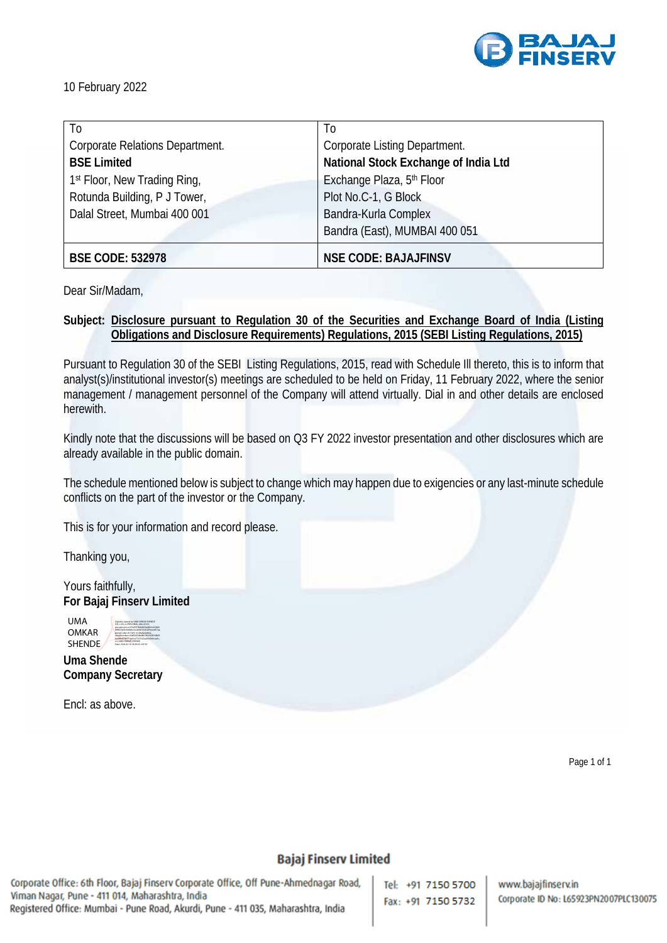

10 February 2022

| T <sub>0</sub>                  | T <sub>0</sub>                       |  |
|---------------------------------|--------------------------------------|--|
| Corporate Relations Department. | Corporate Listing Department.        |  |
| <b>BSE Limited</b>              | National Stock Exchange of India Ltd |  |
| 1st Floor, New Trading Ring,    | Exchange Plaza, 5th Floor            |  |
| Rotunda Building, P J Tower,    | Plot No.C-1, G Block                 |  |
| Dalal Street, Mumbai 400 001    | Bandra-Kurla Complex                 |  |
|                                 | Bandra (East), MUMBAI 400 051        |  |
| <b>BSE CODE: 532978</b>         | <b>NSE CODE: BAJAJFINSV</b>          |  |

Dear Sir/Madam,

**Subject: Disclosure pursuant to Regulation 30 of the Securities and Exchange Board of India (Listing Obligations and Disclosure Requirements) Regulations, 2015 (SEBI Listing Regulations, 2015)**

Pursuant to Regulation 30 of the SEBI Listing Regulations, 2015, read with Schedule Ill thereto, this is to inform that analyst(s)/institutional investor(s) meetings are scheduled to be held on Friday, 11 February 2022, where the senior management / management personnel of the Company will attend virtually. Dial in and other details are enclosed herewith.

Kindly note that the discussions will be based on Q3 FY 2022 investor presentation and other disclosures which are already available in the public domain.

The schedule mentioned below is subject to change which may happen due to exigencies or any last-minute schedule conflicts on the part of the investor or the Company.

This is for your information and record please.

Thanking you,

Yours faithfully, **For Bajaj Finserv Limited**

> Digitally signed by UMA OMKAR SHENDE DN: c=IN, o=PERSONAL, title=0163, pseudonym=e275ef597b9ef050a83b1a55860 b88639abc40dd6e3e2ebb107cb209eeed57aa, postalCode=411009, st=Maharashtra, serialNumber=36d920508d8616fe762816fb91 ba0bfe079a571ac0ce73c7622aa00e240caa3c, cn=UMA OMKAR SHENDE Date: 2022.02.10 18:30:45 +05'30'

UMA OMKAR SHENDE

**Uma Shende Company Secretary**

Encl: as above.

Page 1 of 1

## **Bajaj Finserv Limited**

Corporate Office: 6th Floor, Bajaj Finserv Corporate Office, Off Pune-Ahmednagar Road, Viman Nagar, Pune - 411 014, Maharashtra, India Registered Office: Mumbai - Pune Road, Akurdi, Pune - 411 035, Maharashtra, India

Tel: +91 7150 5700 Fax: +91 7150 5732 www.bajajfinserv.in Corporate ID No: L65923PN2007PLC130075